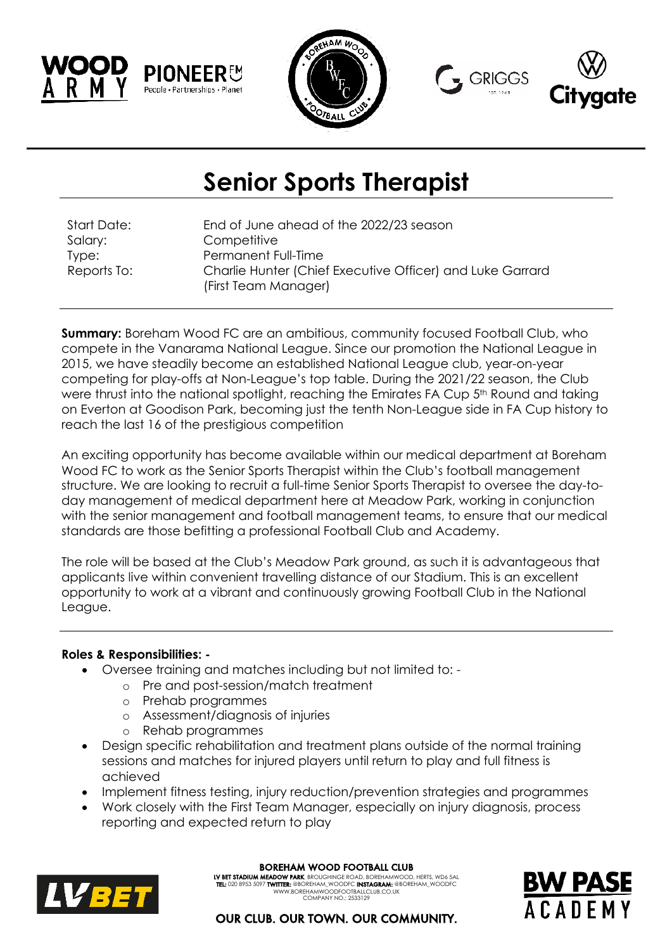





# **Senior Sports Therapist**

Start Date: End of June ahead of the 2022/23 season Salary: Competitive Type: Permanent Full-Time Reports To: Charlie Hunter (Chief Executive Officer) and Luke Garrard (First Team Manager)

**Summary:** Boreham Wood FC are an ambitious, community focused Football Club, who compete in the Vanarama National League. Since our promotion the National League in 2015, we have steadily become an established National League club, year-on-year competing for play-offs at Non-League's top table. During the 2021/22 season, the Club were thrust into the national spotlight, reaching the Emirates FA Cup 5<sup>th</sup> Round and taking on Everton at Goodison Park, becoming just the tenth Non-League side in FA Cup history to reach the last 16 of the prestigious competition

An exciting opportunity has become available within our medical department at Boreham Wood FC to work as the Senior Sports Therapist within the Club's football management structure. We are looking to recruit a full-time Senior Sports Therapist to oversee the day-today management of medical department here at Meadow Park, working in conjunction with the senior management and football management teams, to ensure that our medical standards are those befitting a professional Football Club and Academy.

The role will be based at the Club's Meadow Park ground, as such it is advantageous that applicants live within convenient travelling distance of our Stadium. This is an excellent opportunity to work at a vibrant and continuously growing Football Club in the National League.

### **Roles & Responsibilities: -**

- Oversee training and matches including but not limited to:
	- o Pre and post-session/match treatment
	- o Prehab programmes
	- o Assessment/diagnosis of injuries
	- o Rehab programmes
- Design specific rehabilitation and treatment plans outside of the normal training sessions and matches for injured players until return to play and full fitness is achieved
- Implement fitness testing, injury reduction/prevention strategies and programmes
- Work closely with the First Team Manager, especially on injury diagnosis, process reporting and expected return to play



BOREHAM WOOD FOOTBALL CLUB

**LY BET STADIUM MEADOW PARK,** BROUGHINGE ROAD, BOREHAMWOOD, HERTS, WD6 5AL<br>**TEL:** 020 8953 5097 **TWITTER:** @BOREHAM\_WOODFC **INSTAGRAM:** @BOREHAM\_WOODFC WWW.BOREHAMWOODFOOTBALLCLUB.CO.U COMPANY NO.: 2533129



OUR CLUB. OUR TOWN. OUR COMMUNITY.